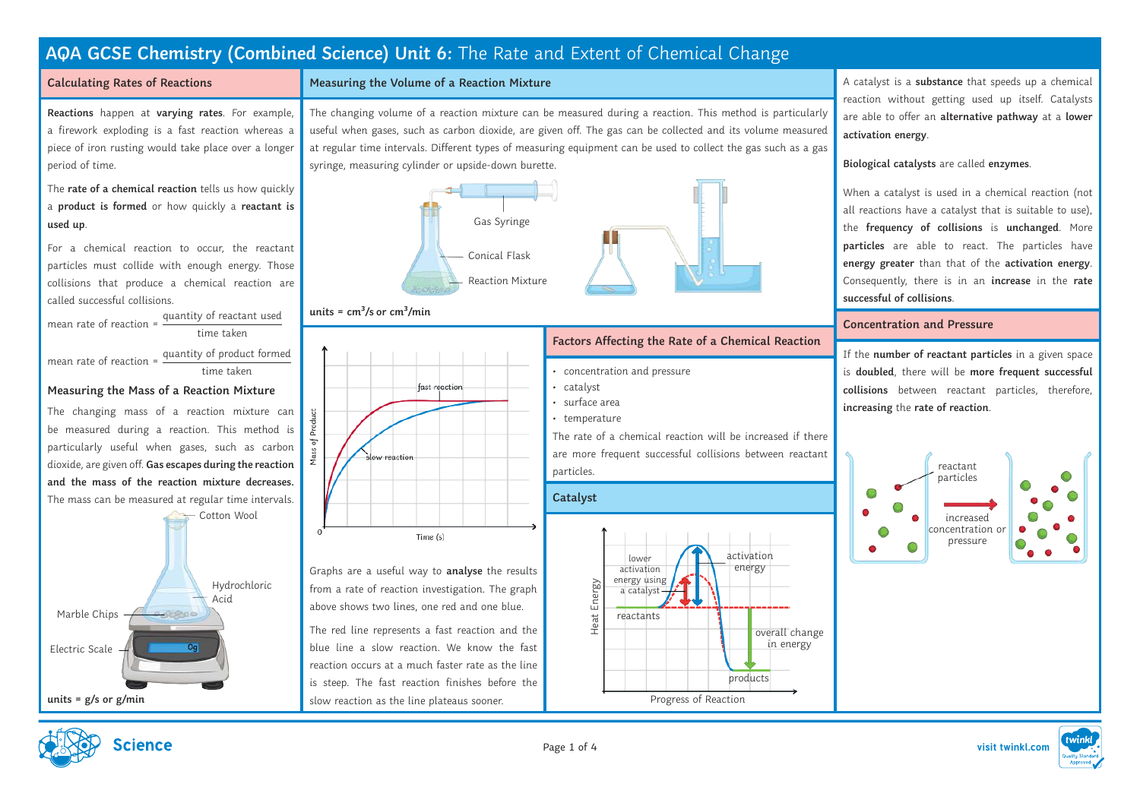## **Calculating Rates of Reactions**

**Reactions** happen at **varying rates**. For example, a firework exploding is a fast reaction whereas a piece of iron rusting would take place over a longer period of time.

The **rate of a chemical reaction** tells us how quickly a **product is formed** or how quickly a **reactant is used up**.

For a chemical reaction to occur, the reactant particles must collide with enough energy. Those collisions that produce a chemical reaction are called successful collisions.

mean rate of reaction = quantity of reactant used time taken

mean rate of reaction = quantity of product formed time taken

## **Measuring the Mass of a Reaction Mixture**

The changing mass of a reaction mixture can be measured during a reaction. This method is particularly useful when gases, such as carbon dioxide, are given off. **Gas escapes during the reaction and the mass of the reaction mixture decreases.** The mass can be measured at regular time intervals.



## **Measuring the Volume of a Reaction Mixture**

The changing volume of a reaction mixture can be measured during a reaction. This method is particularly useful when gases, such as carbon dioxide, are given off. The gas can be collected and its volume measured at regular time intervals. Different types of measuring equipment can be used to collect the gas such as a gas syringe, measuring cylinder or upside-down burette.



## units =  $cm<sup>3</sup>/s$  or  $cm<sup>3</sup>/min$



Graphs are a useful way to **analyse** the results from a rate of reaction investigation. The graph above shows two lines, one red and one blue.

The red line represents a fast reaction and the blue line a slow reaction. We know the fast reaction occurs at a much faster rate as the line is steep. The fast reaction finishes before the slow reaction as the line plateaus sooner.



## **Factors Affecting the Rate of a Chemical Reaction**

- concentration and pressure
- catalyst
- surface area
- temperature

The rate of a chemical reaction will be increased if there are more frequent successful collisions between reactant particles.

## **Catalyst**



A catalyst is a **substance** that speeds up a chemical reaction without getting used up itself. Catalysts are able to offer an **alternative pathway** at a **lower activation energy**.

### **Biological catalysts** are called **enzymes**.

When a catalyst is used in a chemical reaction (not all reactions have a catalyst that is suitable to use), the **frequency of collisions** is **unchanged**. More **particles** are able to react. The particles have **energy greater** than that of the **activation energy**. Consequently, there is in an **increase** in the **rate successful of collisions**.

### **Concentration and Pressure**

If the **number of reactant particles** in a given space is **doubled**, there will be **more frequent successful collisions** between reactant particles, therefore, **increasing** the **rate of reaction**.



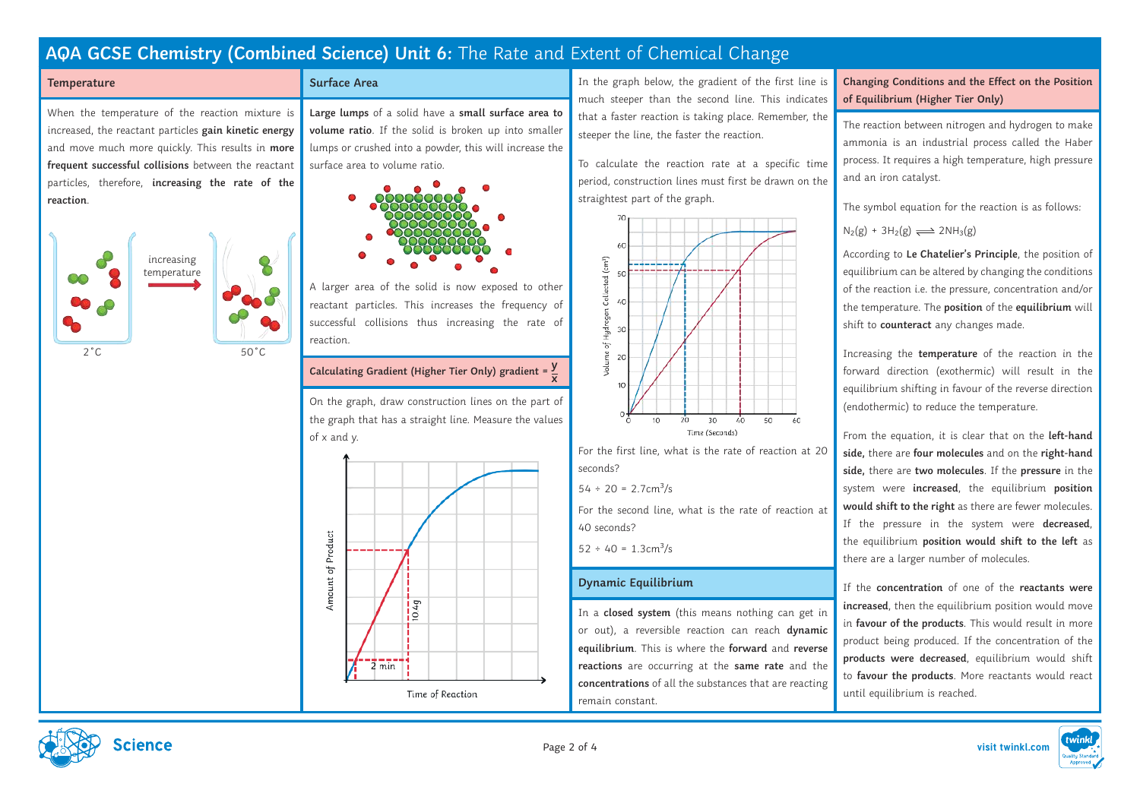#### **Temperature**

When the temperature of the reaction mixture is increased, the reactant particles **gain kinetic energy**  and move much more quickly. This results in **more frequent successful collisions** between the reactant particles, therefore, **increasing the rate of the reaction**.



**Surface Area**

**Large lumps** of a solid have a **small surface area to volume ratio**. If the solid is broken up into smaller lumps or crushed into a powder, this will increase the surface area to volume ratio.



A larger area of the solid is now exposed to other reactant particles. This increases the frequency of successful collisions thus increasing the rate of reaction.

#### **Calculating Gradient (Higher Tier Only) gradient = y x**

On the graph, draw construction lines on the part of the graph that has a straight line. Measure the values of x and y.



In the graph below, the gradient of the first line is much steeper than the second line. This indicates that a faster reaction is taking place. Remember, the steeper the line, the faster the reaction.

To calculate the reaction rate at a specific time period, construction lines must first be drawn on the straightest part of the graph.



For the first line, what is the rate of reaction at 20 seconds?

 $54 \div 20 = 2.7$ cm<sup>3</sup>/s

For the second line, what is the rate of reaction at 40 seconds?

 $52 \div 40 = 1.3 \text{cm}^3/\text{s}$ 

## **Dynamic Equilibrium**

In a **closed system** (this means nothing can get in or out), a reversible reaction can reach **dynamic equilibrium**. This is where the **forward** and **reverse reactions** are occurring at the **same rate** and the **concentrations** of all the substances that are reacting remain constant.

## **Changing Conditions and the Effect on the Position of Equilibrium (Higher Tier Only)**

The reaction between nitrogen and hydrogen to make ammonia is an industrial process called the Haber process. It requires a high temperature, high pressure and an iron catalyst.

The symbol equation for the reaction is as follows:

 $N_2(g) + 3H_2(g) \rightleftharpoons 2NH_3(g)$ 

According to **Le Chatelier's Principle**, the position of equilibrium can be altered by changing the conditions of the reaction i.e. the pressure, concentration and/or the temperature. The **position** of the **equilibrium** will shift to **counteract** any changes made.

Increasing the **temperature** of the reaction in the forward direction (exothermic) will result in the equilibrium shifting in favour of the reverse direction (endothermic) to reduce the temperature.

From the equation, it is clear that on the **left-hand side,** there are **four molecules** and on the **right-hand side,** there are **two molecules**. If the **pressure** in the system were **increased**, the equilibrium **position would shift to the right** as there are fewer molecules. If the pressure in the system were **decreased**, the equilibrium **position would shift to the left** as there are a larger number of molecules.

If the **concentration** of one of the **reactants were increased**, then the equilibrium position would move in **favour of the products**. This would result in more product being produced. If the concentration of the **products were decreased**, equilibrium would shift to **favour the products**. More reactants would react until equilibrium is reached.



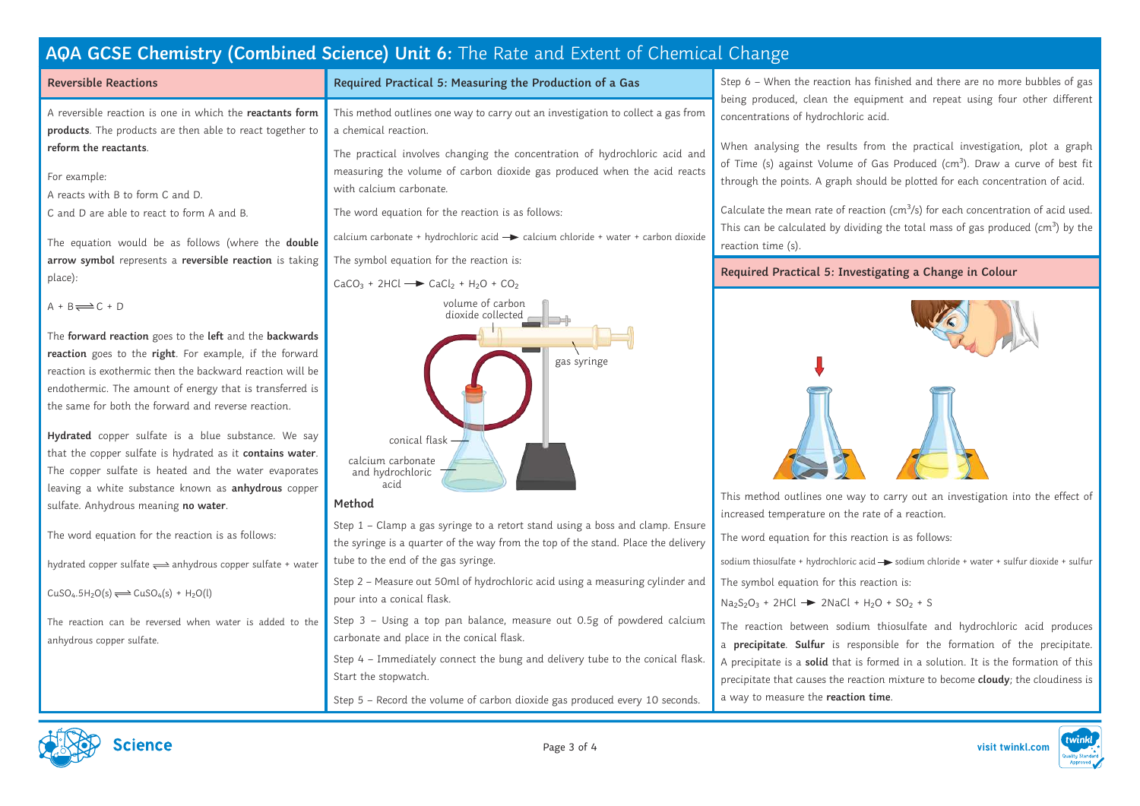# **Reversible Reactions**

A reversible reaction is one in which the **reactants form products**. The products are then able to react together to **reform the reactants**.

- For example:
- A reacts with B to form C and D.
- C and D are able to react to form A and B.

The equation would be as follows (where the **double arrow symbol** represents a **reversible reaction** is taking place):

 $A + B \rightleftharpoons C + D$ 

The **forward reaction** goes to the **left** and the **backwards reaction** goes to the **right**. For example, if the forward reaction is exothermic then the backward reaction will be endothermic. The amount of energy that is transferred is the same for both the forward and reverse reaction.

**Hydrated** copper sulfate is a blue substance. We say that the copper sulfate is hydrated as it **contains water**. The copper sulfate is heated and the water evaporates leaving a white substance known as **anhydrous** copper sulfate. Anhydrous meaning **no water**.

The word equation for the reaction is as follows:

hydrated copper sulfate  $\rightleftharpoons$  anhydrous copper sulfate + water

 $CuSO<sub>4</sub>.5H<sub>2</sub>O(s) \rightleftharpoons CuSO<sub>4</sub>(s) + H<sub>2</sub>O(l)$ 

The reaction can be reversed when water is added to the anhydrous copper sulfate.

This method outlines one way to carry out an investigation to collect a gas from a chemical reaction.

**Required Practical 5: Measuring the Production of a Gas**

The practical involves changing the concentration of hydrochloric acid and measuring the volume of carbon dioxide gas produced when the acid reacts with calcium carbonate.

The word equation for the reaction is as follows:

calcium carbonate + hydrochloric acid  $\rightarrow$  calcium chloride + water + carbon dioxide

The symbol equation for the reaction is:





## **Method**

Step 1 – Clamp a gas syringe to a retort stand using a boss and clamp. Ensure the syringe is a quarter of the way from the top of the stand. Place the delivery tube to the end of the gas syringe.

Step 2 – Measure out 50ml of hydrochloric acid using a measuring cylinder and pour into a conical flask.

Step 3 – Using a top pan balance, measure out 0.5g of powdered calcium carbonate and place in the conical flask.

Step 4 – Immediately connect the bung and delivery tube to the conical flask. Start the stopwatch.

Step 5 – Record the volume of carbon dioxide gas produced every 10 seconds.

Step 6 – When the reaction has finished and there are no more bubbles of gas being produced, clean the equipment and repeat using four other different concentrations of hydrochloric acid.

When analysing the results from the practical investigation, plot a graph of Time (s) against Volume of Gas Produced (cm<sup>3</sup>). Draw a curve of best fit through the points. A graph should be plotted for each concentration of acid.

Calculate the mean rate of reaction ( $cm^3/s$ ) for each concentration of acid used. This can be calculated by dividing the total mass of gas produced ( $cm<sup>3</sup>$ ) by the reaction time (s).

## **Required Practical 5: Investigating a Change in Colour**



This method outlines one way to carry out an investigation into the effect of increased temperature on the rate of a reaction.

The word equation for this reaction is as follows:

sodium thiosulfate + hydrochloric acid  $\rightarrow$  sodium chloride + water + sulfur dioxide + sulfur The symbol equation for this reaction is:

 $Na<sub>2</sub>S<sub>2</sub>O<sub>3</sub> + 2HCl$   $\rightarrow$  2NaCl + H<sub>2</sub>O + SO<sub>2</sub> + S

The reaction between sodium thiosulfate and hydrochloric acid produces a **precipitate**. **Sulfur** is responsible for the formation of the precipitate. A precipitate is a **solid** that is formed in a solution. It is the formation of this precipitate that causes the reaction mixture to become **cloudy**; the cloudiness is a way to measure the **reaction time**.